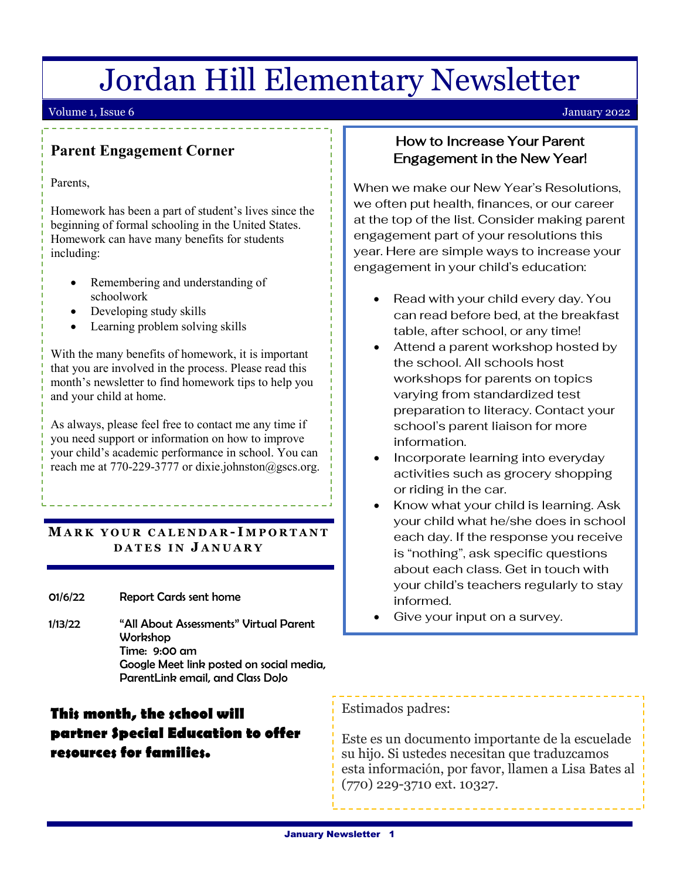## Jordan Hill Elementary Newsletter

#### Volume 1, Issue 6 January 2022

## **Parent Engagement Corner**

Parents,

Homework has been a part of student's lives since the beginning of formal schooling in the United States. Homework can have many benefits for students including:

- Remembering and understanding of schoolwork
- Developing study skills
- Learning problem solving skills

1. that you are involved in the process. Please read this With the many benefits of homework, it is important month's newsletter to find homework tips to help you and your child at home.

As always, please feel free to contact me any time if you need support or information on how to improve your child's academic performance in school. You can reach me at 770-229-3777 or dixie.johnston@gscs.org.

#### **MARK YOUR CALENDAR - I MPORTANT DATES IN J ANUARY**

01/6/22 Report Cards sent home

j

1/13/22 "All About Assessments" Virtual Parent Workshop<br>Times 2006 Time: 9:00 am Google Meet link posted on social media, ParentLink email, and Class DoJo

## **This month, the school will partner Special Education to offer resources for families.**

## How to Increase Your Parent Engagement in the New Year!

When we make our New Year's Resolutions, we often put health, finances, or our career at the top of the list. Consider making parent engagement part of your resolutions this year. Here are simple ways to increase your engagement in your child's education:

- Read with your child every day. You can read before bed, at the breakfast table, after school, or any time!
- Attend a parent workshop hosted by the school. All schools host workshops for parents on topics varying from standardized test preparation to literacy. Contact your school's parent liaison for more information.
- Incorporate learning into everyday activities such as grocery shopping or riding in the car.
- Know what your child is learning. Ask your child what he/she does in school each day. If the response you receive is "nothing", ask specific questions about each class. Get in touch with your child's teachers regularly to stay informed.
- Give your input on a survey.

#### Estimados padres:

Este es un documento importante de la escuelade su hijo. Si ustedes necesitan que traduzcamos esta información, por favor, llamen a Lisa Bates al (770) 229-3710 ext. 10327.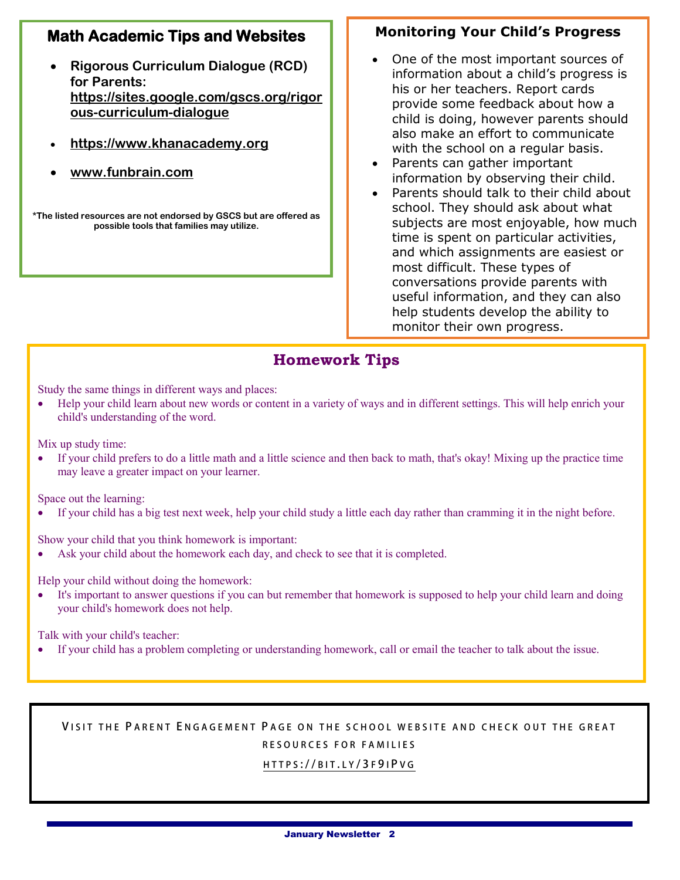## **Math Academic Tips and Websites**

- **Rigorous Curriculum Dialogue (RCD) for Parents: [https://sites.google.com/gscs.org/rigor](https://sites.google.com/gscs.org/rigorous-curriculum-dialogue) [ous-curriculum-dialogue](https://sites.google.com/gscs.org/rigorous-curriculum-dialogue)**
- **[https://www.khanacademy.org](https://www.khanacademy.org/)**
- **www.funbrain.com**

**\*The listed resources are not endorsed by GSCS but are offered as possible tools that families may utilize.**

#### **Monitoring Your Child's Progress**

- One of the most important sources of information about a child's progress is his or her teachers. Report cards provide some feedback about how a child is doing, however parents should also make an effort to communicate with the school on a regular basis.
- Parents can gather important information by observing their child.
- Parents should talk to their child about school. They should ask about what subjects are most enjoyable, how much time is spent on particular activities, and which assignments are easiest or most difficult. These types of conversations provide parents with useful information, and they can also help students develop the ability to monitor their own progress.

### **Homework Tips**

 Study the same things in different ways and places:

 • Help your child learn about new words or content in a variety of ways and in different settings. This will help enrich your child's understanding of the word.

Mix up study time:

• If your child prefers to do a little math and a little science and then back to math, that's okay! Mixing up the practice time may leave a greater impact on your learner.

Space out the learning:

• If your child has a big test next week, help your child study a little each day rather than cramming it in the night before.

Show your child that you think homework is important:

• Ask your child about the homework each day, and check to see that it is completed.

Help your child without doing the homework:

It's important to answer questions if you can but remember that homework is supposed to help your child learn and doing your child's homework does not help.

Talk with your child's teacher:

• If your child has a problem completing or understanding homework, call or email the teacher to talk about the issue.

#### **V ISIT THE P ARENT E NGAGEMENT P AGE ON THE SCHOOL WE BSITE AND CHECK OUT THE GREAT RESOURCES FOR FAMILI ES**

 $\overline{a}$ 

#### **[HTTPS](https://bit.ly/3f9iPvg) :// BIT . L Y / 3 F 9 I P V G**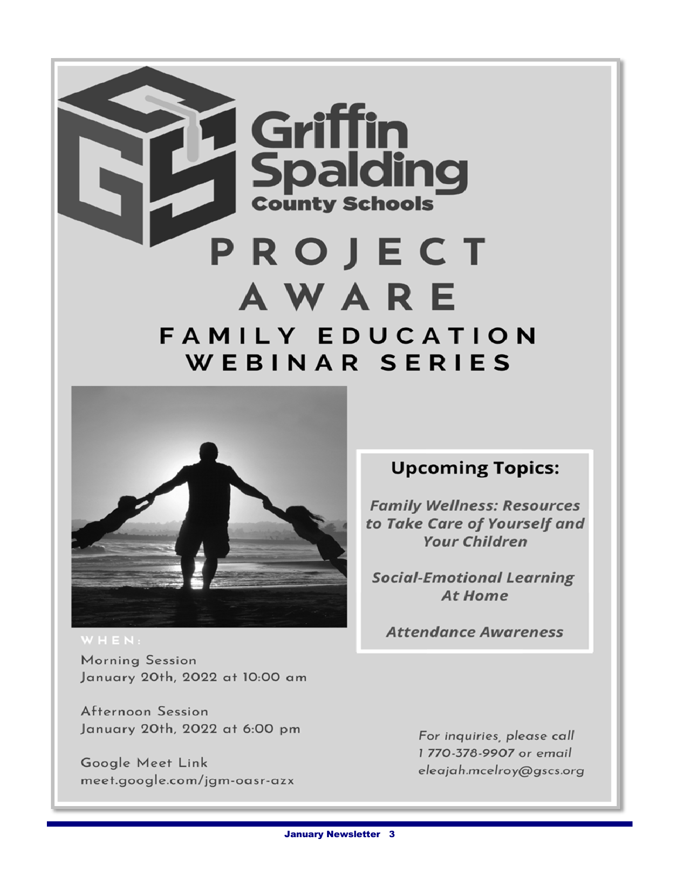



Morning Session January 20th, 2022 at 10:00 am

Afternoon Session January 20th, 2022 at 6:00 pm

Google Meet Link meet.google.com/jgm-oasr-azx

## **Upcoming Topics:**

**Family Wellness: Resources** to Take Care of Yourself and **Your Children** 

**Social-Emotional Learning At Home** 

**Attendance Awareness** 

For inquiries, please call 1 770-378-9907 or email eleajah.mcelroy@gscs.org

**January Newsletter 3**